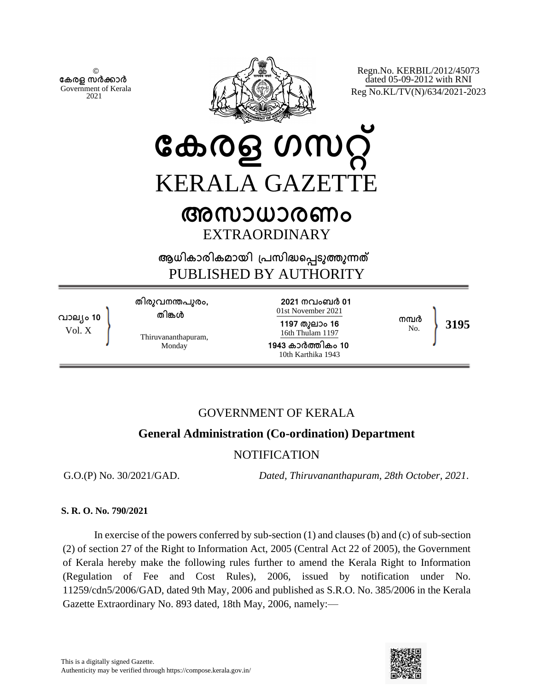© **േകരള സർകാർ** Government of Kerala 2021



Regn.No. KERBIL/2012/45073 dated 05-09-2012 with RNI Reg No.KL/TV(N)/634/2021-2023

**േകരള ഗസറ് KERALA GAZETT** 

# **അസാധാരണം** EXTRAORDINARY

**ആധികാരികമായി ്പസിദെപടുതുനത** PUBLISHED BY AUTHORITY

**വാല്ം 10** Vol. X

**തിരുവനനപുരം, തിങള**

Thiruvananthapuram, Monday

**2021 നവംബർ 01** 01st November 2021

**1197 തുലാം 16** 16th Thulam 1197 **1943 കാർതികം 10**

10th Karthika 1943

No. **3195**

**നമർ**

# GOVERNMENT OF KERALA

# **General Administration (Co-ordination) Department**

## NOTIFICATION

G.O.(P) No. 30/2021/GAD. *Dated, Thiruvananthapuram, 28th October, 2021*.

## **S. R. O. No. 790/2021**

In exercise of the powers conferred by sub-section (1) and clauses (b) and (c) of sub-section (2) of section 27 of the Right to Information Act, 2005 (Central Act 22 of 2005), the Government of Kerala hereby make the following rules further to amend the Kerala Right to Information (Regulation of Fee and Cost Rules), 2006, issued by notification under No. 11259/cdn5/2006/GAD, dated 9th May, 2006 and published as S.R.O. No. 385/2006 in the Kerala Gazette Extraordinary No. 893 dated, 18th May, 2006, namely:—